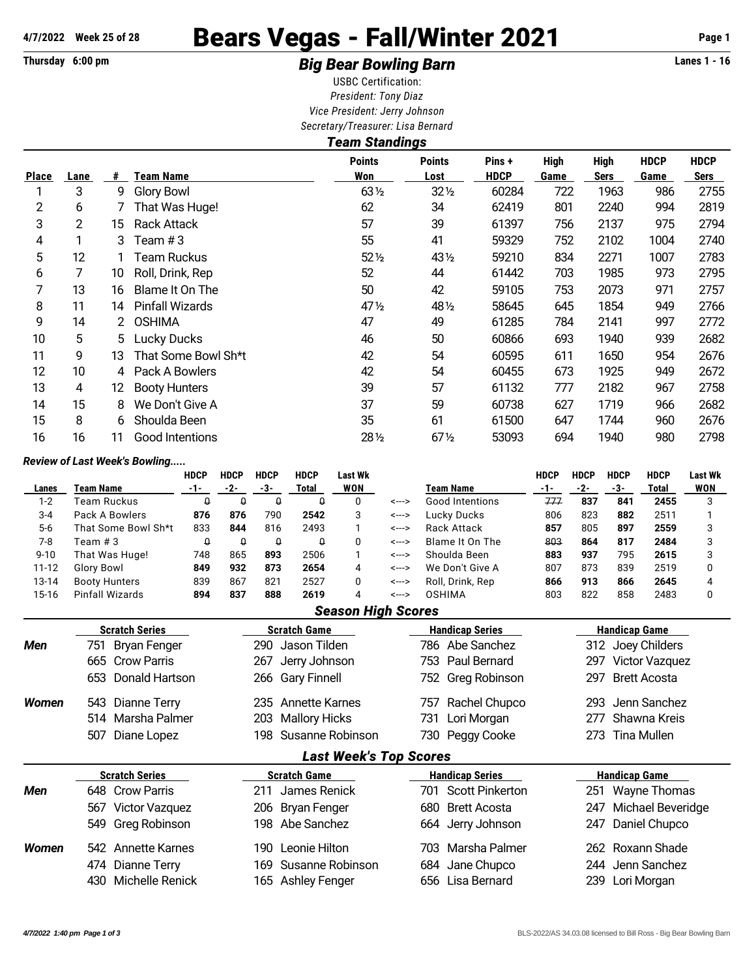## **4/7/2022 Week 25 of 28** Bears Vegas - Fall/Winter 2021 **Page 1**

## **Thursday 6:00 pm** *Big Bear Bowling Barn* **Lanes 1 - 16**

USBC Certification: *President: Tony Diaz Vice President: Jerry Johnson Secretary/Treasurer: Lisa Bernard*

| <b>Team Standings</b> |      |    |                        |                      |                       |                       |                     |                            |                     |                     |  |  |
|-----------------------|------|----|------------------------|----------------------|-----------------------|-----------------------|---------------------|----------------------------|---------------------|---------------------|--|--|
| <b>Place</b>          | Lane | #  | Team Name              | <b>Points</b><br>Won | <b>Points</b><br>Lost | Pins +<br><b>HDCP</b> | <b>High</b><br>Game | <b>High</b><br><b>Sers</b> | <b>HDCP</b><br>Game | <b>HDCP</b><br>Sers |  |  |
|                       | 3    | 9  | <b>Glory Bowl</b>      | $63\frac{1}{2}$      | $32\frac{1}{2}$       | 60284                 | 722                 | 1963                       | 986                 | 2755                |  |  |
| 2                     | 6    |    | That Was Huge!         | 62                   | 34                    | 62419                 | 801                 | 2240                       | 994                 | 2819                |  |  |
| 3                     | 2    | 15 | <b>Rack Attack</b>     | 57                   | 39                    | 61397                 | 756                 | 2137                       | 975                 | 2794                |  |  |
| 4                     |      | 3  | Team $#3$              | 55                   | 41                    | 59329                 | 752                 | 2102                       | 1004                | 2740                |  |  |
| 5                     | 12   |    | Team Ruckus            | $52\%$               | 431/2                 | 59210                 | 834                 | 2271                       | 1007                | 2783                |  |  |
| 6                     |      | 10 | Roll, Drink, Rep       | 52                   | 44                    | 61442                 | 703                 | 1985                       | 973                 | 2795                |  |  |
| 7                     | 13   | 16 | Blame It On The        | 50                   | 42                    | 59105                 | 753                 | 2073                       | 971                 | 2757                |  |  |
| 8                     | 11   | 14 | <b>Pinfall Wizards</b> | 47 $\frac{1}{2}$     | 48 <sup>1/2</sup>     | 58645                 | 645                 | 1854                       | 949                 | 2766                |  |  |
| 9                     | 14   | 2  | <b>OSHIMA</b>          | 47                   | 49                    | 61285                 | 784                 | 2141                       | 997                 | 2772                |  |  |
| 10                    | 5    | 5. | <b>Lucky Ducks</b>     | 46                   | 50                    | 60866                 | 693                 | 1940                       | 939                 | 2682                |  |  |
| 11                    | 9    | 13 | That Some Bowl Sh*t    | 42                   | 54                    | 60595                 | 611                 | 1650                       | 954                 | 2676                |  |  |
| 12                    | 10   | 4  | Pack A Bowlers         | 42                   | 54                    | 60455                 | 673                 | 1925                       | 949                 | 2672                |  |  |
| 13                    | 4    | 12 | <b>Booty Hunters</b>   | 39                   | 57                    | 61132                 | 777                 | 2182                       | 967                 | 2758                |  |  |
| 14                    | 15   | 8  | We Don't Give A        | 37                   | 59                    | 60738                 | 627                 | 1719                       | 966                 | 2682                |  |  |
| 15                    | 8    | 6  | Shoulda Been           | 35                   | 61                    | 61500                 | 647                 | 1744                       | 960                 | 2676                |  |  |
| 16                    | 16   | 11 | Good Intentions        | 281/2                | $67\%$                | 53093                 | 694                 | 1940                       | 980                 | 2798                |  |  |

## *Review of Last Week's Bowling.....*

|              | Review of Last Week's Downing |             |                            |                                  |                     |                               |       |                 |                        |             |             |                      |                     |                |
|--------------|-------------------------------|-------------|----------------------------|----------------------------------|---------------------|-------------------------------|-------|-----------------|------------------------|-------------|-------------|----------------------|---------------------|----------------|
|              |                               | <b>HDCP</b> | <b>HDCP</b>                | <b>HDCP</b>                      | <b>HDCP</b>         | <b>Last Wk</b>                |       |                 |                        | <b>HDCP</b> | <b>HDCP</b> | <b>HDCP</b>          | <b>HDCP</b>         | <b>Last Wk</b> |
| Lanes        | <b>Team Name</b>              | $-1-$       | $-2-$                      | $-3-$                            | Total               | <b>WON</b>                    |       | Team Name       |                        | $-1-$       | $-2-$       | $-3-$                | Total               | <b>WON</b>     |
| $1 - 2$      | Team Ruckus                   | $\Omega$    | 0                          | $\theta$<br>$\Omega$<br>$\Omega$ |                     | <--->                         |       | Good Intentions | 777                    | 837         | 841         | 2455                 | 3                   |                |
| $3 - 4$      | Pack A Bowlers                | 876         | 876                        | 790                              | 2542                | 3                             | <---> |                 | <b>Lucky Ducks</b>     | 806         | 823         | 882                  | 2511                |                |
| $5-6$        | That Some Bowl Sh*t           | 833         | 844                        | 816                              | 2493                | 1                             | <---> |                 | <b>Rack Attack</b>     | 857         | 805         | 897                  | 2559                | 3              |
| $7 - 8$      | Team $#3$                     | $\Omega$    | $\Omega$                   | $\theta$                         | $\theta$            | 0                             | <---> |                 | Blame It On The        | 803         | 864         | 817                  | 2484                | 3              |
| $9 - 10$     | That Was Huge!<br>748         |             | 865                        | 893<br>2506                      |                     | 1                             | <---> |                 | Shoulda Been           | 883         | 937         | 795                  | 2615                | 3              |
| $11 - 12$    | <b>Glory Bowl</b>             | 849         | 932                        | 873                              | 2654                | 4                             | <---> |                 | We Don't Give A        | 807         | 873         | 839                  | 2519                | 0              |
| 13-14        | <b>Booty Hunters</b>          | 839         | 867                        | 821                              | 2527                | 0                             | <---> |                 | Roll, Drink, Rep       | 866         | 913         | 866                  | 2645                | 4              |
| $15-16$      | <b>Pinfall Wizards</b>        | 894         | 837                        | 888                              | 2619                | 4                             | <---> |                 | <b>OSHIMA</b>          | 803         | 822         | 858                  | 2483                | 0              |
|              |                               |             |                            |                                  |                     | <b>Season High Scores</b>     |       |                 |                        |             |             |                      |                     |                |
|              | <b>Scratch Series</b>         |             | <b>Scratch Game</b>        |                                  |                     |                               |       |                 | <b>Handicap Series</b> |             |             | <b>Handicap Game</b> |                     |                |
| <b>Men</b>   | <b>Bryan Fenger</b><br>751    |             |                            | 290                              | Jason Tilden        |                               |       | 786             | Abe Sanchez            |             | 312         |                      | Joey Childers       |                |
|              | 665<br><b>Crow Parris</b>     |             |                            | 267                              | Jerry Johnson       |                               |       | 753             | Paul Bernard           |             | 297         |                      | Victor Vazquez      |                |
|              | Donald Hartson<br>653         |             |                            |                                  | 266 Gary Finnell    |                               |       | 752             | Greg Robinson          |             | 297         |                      | <b>Brett Acosta</b> |                |
| <b>Women</b> | 543<br>Dianne Terry           |             |                            | Annette Karnes<br>235            |                     |                               |       | 757             | Rachel Chupco          |             |             | Jenn Sanchez<br>293  |                     |                |
|              | Marsha Palmer<br>514          |             |                            | 203                              |                     | <b>Mallory Hicks</b>          |       | 731             | Lori Morgan            |             | 277         |                      | Shawna Kreis        |                |
|              | 507<br>Diane Lopez            |             |                            | 198                              |                     | Susanne Robinson              |       | 730             | Peggy Cooke            |             | 273         |                      | <b>Tina Mullen</b>  |                |
|              |                               |             |                            |                                  |                     | <b>Last Week's Top Scores</b> |       |                 |                        |             |             |                      |                     |                |
|              | <b>Scratch Series</b>         |             |                            |                                  | <b>Scratch Game</b> |                               |       |                 | <b>Handicap Series</b> |             |             | <b>Handicap Game</b> |                     |                |
| <b>Men</b>   | <b>Crow Parris</b><br>648     |             |                            | 211                              | James Renick        |                               |       | 701             | <b>Scott Pinkerton</b> |             | 251         |                      | <b>Wayne Thomas</b> |                |
|              | <b>Victor Vazquez</b><br>567  |             | <b>Bryan Fenger</b><br>206 |                                  |                     |                               |       | 680             | <b>Brett Acosta</b>    |             | 247         |                      | Michael Beveridge   |                |
|              | 549<br>Greg Robinson          |             |                            | 198                              | Abe Sanchez         |                               |       | 664             | Jerry Johnson          |             | 247         |                      | Daniel Chupco       |                |
| <b>Women</b> | 542 Annette Karnes            |             |                            | 190                              | Leonie Hilton       |                               |       | 703             | Marsha Palmer          |             |             |                      | 262 Roxann Shade    |                |

474 Dianne Terry 169 Susanne Robinson 684 Jane Chupco 244 Jenn Sanchez 430 Michelle Renick 165 Ashley Fenger 656 Lisa Bernard 239 Lori Morgan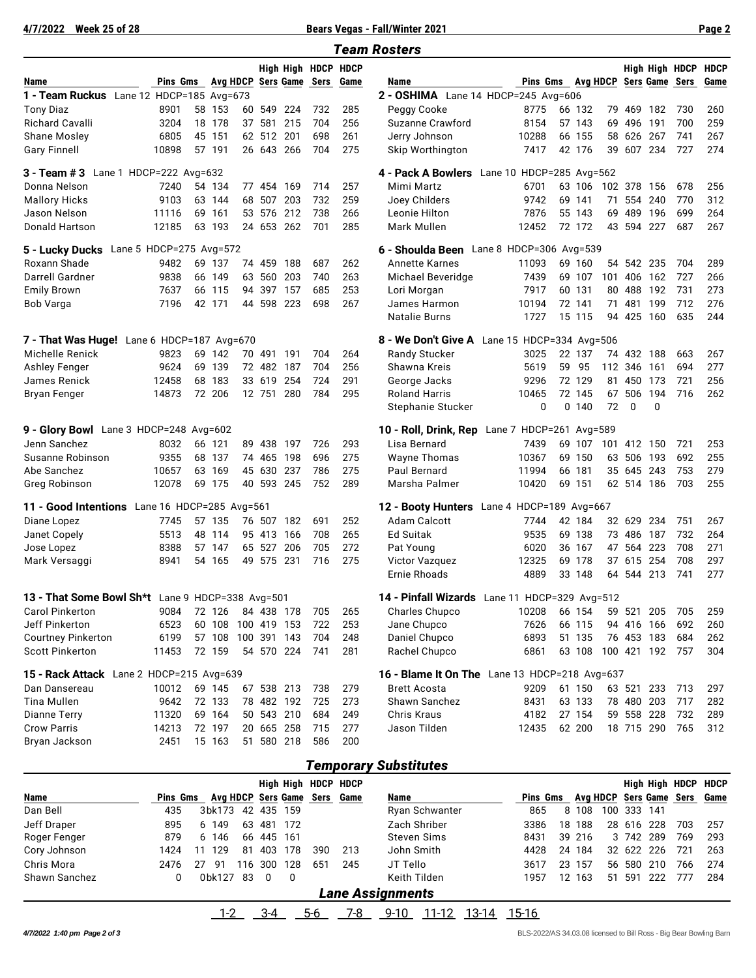**4/7/2022 Week 25 of 28 Bears Vegas - Fall/Winter 2021 Page 2**

| <b>Team Rosters</b>                                 |              |  |                                          |    |                  |            |                              |            |                                                            |                          |                   |                  |     |                          |                 |                |             |
|-----------------------------------------------------|--------------|--|------------------------------------------|----|------------------|------------|------------------------------|------------|------------------------------------------------------------|--------------------------|-------------------|------------------|-----|--------------------------|-----------------|----------------|-------------|
|                                                     |              |  |                                          |    |                  |            | High High HDCP HDCP          |            |                                                            |                          |                   |                  |     |                          |                 | High High HDCP | <b>HDCP</b> |
| Name                                                | Pins Gms     |  |                                          |    |                  |            | Avg HDCP Sers Game Sers Game |            | Name                                                       |                          | Pins Gms Avg HDCP |                  |     |                          |                 | Sers Game Sers | Game        |
| 1 - Team Ruckus Lane 12 HDCP=185 Avg=673            |              |  |                                          |    |                  |            |                              |            | 2 - OSHIMA Lane 14 HDCP=245 Avg=606                        |                          |                   |                  |     |                          |                 |                |             |
| Tony Diaz                                           | 8901         |  | 58 153                                   | 60 | 549              | 224        | 732                          | 285        | Peggy Cooke                                                | 8775                     |                   | 66 132           | 79  | 469                      | 182             | 730            | 260         |
| <b>Richard Cavalli</b>                              | 3204         |  | 18 178                                   |    | 37 581           | 215        | 704                          | 256        | Suzanne Crawford                                           | 8154                     |                   | 57 143           |     | 69 496                   | 191             | 700            | 259         |
| Shane Mosley                                        | 6805         |  | 45 151                                   |    | 62 512 201       |            | 698                          | 261        | Jerry Johnson                                              | 10288                    |                   | 66 155           |     | 58 626                   | 267             | 741            | 267         |
| <b>Gary Finnell</b>                                 | 10898        |  | 57 191                                   |    | 26 643 266       |            | 704                          | 275        | Skip Worthington                                           | 7417                     |                   | 42 176           |     | 39 607 234               |                 | 727            | 274         |
| Lane 1 HDCP=222 Avg=632<br>3 - Team # 3             |              |  |                                          |    |                  |            |                              |            | 4 - Pack A Bowlers                                         | Lane 10 HDCP=285 Avg=562 |                   |                  |     |                          |                 |                |             |
| Donna Nelson                                        | 7240         |  | 54 134                                   |    | 77 454           | 169        | 714                          | 257        | Mimi Martz                                                 | 6701                     |                   | 63 106           |     | 102 378                  | 156             | 678            | 256         |
| <b>Mallory Hicks</b>                                | 9103         |  | 63 144                                   |    | 68 507           | 203        | 732                          | 259        | Joey Childers                                              | 9742                     | 69                | 141              | 71  |                          | 554 240         | 770            | 312         |
| Jason Nelson                                        | 11116        |  | 69 161                                   |    | 53 576           | 212        | 738                          | 266        | Leonie Hilton                                              | 7876                     |                   | 55 143           | 69  | 489                      | 196             | 699            | 264         |
| Donald Hartson                                      | 12185        |  | 63 193                                   |    |                  | 24 653 262 | 701                          | 285        | Mark Mullen                                                | 12452                    |                   | 72 172           |     | 43 594 227               |                 | 687            | 267         |
| 5 - Lucky Ducks Lane 5 HDCP=275 Avg=572             |              |  |                                          |    |                  |            |                              |            | 6 - Shoulda Been Lane 8 HDCP=306 Avg=539                   |                          |                   |                  |     |                          |                 |                |             |
| Roxann Shade                                        | 9482         |  | 69 137                                   |    | 74 459 188       |            | 687                          | 262        | <b>Annette Karnes</b>                                      | 11093                    |                   | 69 160           |     | 54 542 235               |                 | 704            | 289         |
| Darrell Gardner                                     | 9838         |  | 66 149                                   |    | 63 560 203       |            | 740                          | 263        | Michael Beveridge                                          | 7439                     |                   | 69 107           |     | 101 406                  | 162             | 727            | 266         |
| Emily Brown                                         | 7637         |  | 66 115                                   |    | 94 397 157       |            | 685                          | 253        | Lori Morgan                                                | 7917                     |                   | 60 131           |     | 80 488                   | 192             | 731            | 273         |
| Bob Varga                                           | 7196         |  | 42 171                                   |    | 44 598 223       |            | 698                          | 267        | James Harmon                                               | 10194                    |                   | 72 141           | 71  | 481                      | 199             | 712            | 276         |
|                                                     |              |  |                                          |    |                  |            |                              |            | Natalie Burns                                              | 1727                     |                   | 15 115           |     | 94 425 160               |                 | 635            | 244         |
| 7 - That Was Huge! Lane 6 HDCP=187 Avg=670          |              |  |                                          |    |                  |            |                              |            | 8 - We Don't Give A Lane 15 HDCP=334 Avg=506               |                          |                   |                  |     |                          |                 |                |             |
| Michelle Renick                                     | 9823         |  | 69 142                                   |    | 70 491 191       |            | 704                          | 264        | <b>Randy Stucker</b>                                       | 3025                     |                   | 22 137           |     | 74 432 188               |                 | 663            | 267         |
| <b>Ashley Fenger</b>                                | 9624         |  | 69 139                                   |    | 72 482 187       |            | 704                          | 256        | Shawna Kreis                                               | 5619                     |                   | 59 95            |     | 112 346                  | 161             | 694            | 277         |
| James Renick                                        | 12458        |  | 68 183                                   |    | 33 619           | 254        | 724                          | 291        | George Jacks                                               | 9296                     |                   | 72 129           |     | 81 450 173               |                 | 721            | 256         |
| Bryan Fenger                                        | 14873        |  | 72 206                                   |    | 12 751           | 280        | 784                          | 295        | <b>Roland Harris</b>                                       | 10465                    |                   | 72 145           |     | 67 506                   | 194             | 716            | 262         |
|                                                     |              |  |                                          |    |                  |            |                              |            | Stephanie Stucker                                          | 0                        | $\Omega$          | 140              | 72  | 0                        | $\Omega$        |                |             |
| 9 - Glory Bowl Lane 3 HDCP=248 Avg=602              |              |  |                                          |    |                  |            |                              |            | 10 - Roll, Drink, Rep Lane 7 HDCP=261 Avg=589              |                          |                   |                  |     |                          |                 |                |             |
| Jenn Sanchez                                        | 8032         |  | 66 121                                   |    |                  | 89 438 197 | 726                          | 293        | Lisa Bernard                                               | 7439                     |                   | 69 107           | 101 | 412 150                  |                 | 721            | 253         |
| Susanne Robinson                                    | 9355         |  | 68 137                                   |    | 74 465           | 198        | 696                          | 275        | <b>Wayne Thomas</b>                                        | 10367                    |                   | 69 150           | 63  | 506                      | 193             | 692            | 255         |
| Abe Sanchez                                         | 10657        |  | 63 169                                   |    | 45 630 237       |            | 786                          | 275        | <b>Paul Bernard</b>                                        | 11994                    |                   | 66 181           |     | 35 645 243               |                 | 753            | 279         |
| Greg Robinson                                       | 12078        |  | 69 175                                   |    |                  | 40 593 245 | 752                          | 289        | Marsha Palmer                                              | 10420                    |                   | 69 151           |     | 62 514 186               |                 | 703            | 255         |
|                                                     |              |  |                                          |    |                  |            |                              |            |                                                            |                          |                   |                  |     |                          |                 |                |             |
| 11 - Good Intentions Lane 16 HDCP=285 Avg=561       |              |  | 57 135                                   |    |                  | 76 507 182 | 691                          | 252        | 12 - Booty Hunters Lane 4 HDCP=189 Avg=667<br>Adam Calcott | 7744                     |                   | 42 184           |     | 32 629                   |                 | 751            |             |
| Diane Lopez                                         | 7745         |  | 48 114                                   |    |                  |            |                              | 265        |                                                            | 9535                     |                   | 69 138           |     | 73 486                   | 234<br>187      | 732            | 267<br>264  |
| Janet Copely                                        | 5513<br>8388 |  | 57 147                                   |    | 95 413<br>65 527 | 166<br>206 | 708<br>705                   | 272        | Ed Suitak                                                  | 6020                     |                   | 36 167           | 47  |                          | 564 223         | 708            | 271         |
| Jose Lopez<br>Mark Versaggi                         | 8941         |  | 54 165                                   |    | 49 575           | 231        | 716                          | 275        | Pat Young<br>Victor Vazquez                                | 12325                    |                   | 69 178           |     | 37 615                   | 254             | 708            | 297         |
|                                                     |              |  |                                          |    |                  |            |                              |            | <b>Ernie Rhoads</b>                                        | 4889                     |                   | 33 148           |     | 64 544 213               |                 | 741            | 277         |
|                                                     |              |  |                                          |    |                  |            |                              |            |                                                            |                          |                   |                  |     |                          |                 |                |             |
| 13 - That Some Bowl Sh*t Lane 9 HDCP=338 Avg=501    |              |  |                                          |    |                  |            |                              |            | 14 - Pinfall Wizards Lane 11 HDCP=329 Avg=512              |                          |                   |                  |     |                          |                 |                |             |
| <b>Carol Pinkerton</b>                              | 9084         |  | 72 126                                   |    |                  | 84 438 178 | 705                          | 265        | Charles Chupco                                             | 10208                    |                   | 66 154           |     | 59 521 205               |                 | 705            | 259         |
| Jeff Pinkerton                                      | 6523<br>6199 |  | 60 108 100 419 153<br>57 108 100 391 143 |    |                  |            | 722<br>704                   | 253<br>248 | Jane Chupco                                                | 7626                     |                   | 66 115<br>51 135 |     | 94 416 166<br>76 453 183 |                 | 692<br>684     | 260         |
| <b>Courtney Pinkerton</b><br><b>Scott Pinkerton</b> | 11453        |  | 72 159                                   |    |                  | 54 570 224 | 741                          | 281        | Daniel Chupco<br>Rachel Chupco                             | 6893<br>6861             |                   | 63 108           |     |                          | 100 421 192 757 |                | 262<br>304  |
|                                                     |              |  |                                          |    |                  |            |                              |            |                                                            |                          |                   |                  |     |                          |                 |                |             |
| 15 - Rack Attack Lane 2 HDCP=215 Avg=639            |              |  |                                          |    |                  |            |                              |            | 16 - Blame It On The Lane 13 HDCP=218 Avg=637              |                          |                   |                  |     |                          |                 |                |             |
| Dan Dansereau                                       | 10012        |  | 69 145                                   |    |                  | 67 538 213 | 738                          | 279        | <b>Brett Acosta</b>                                        | 9209                     |                   | 61 150           |     | 63 521 233               |                 | 713            | 297         |
| Tina Mullen                                         | 9642         |  | 72 133                                   |    |                  | 78 482 192 | 725                          | 273        | Shawn Sanchez                                              | 8431                     |                   | 63 133           |     | 78 480 203               |                 | 717            | 282         |
| Dianne Terry                                        | 11320        |  | 69 164                                   |    |                  | 50 543 210 | 684                          | 249        | Chris Kraus                                                | 4182                     |                   | 27 154           |     | 59 558 228               |                 | 732            | 289         |
| <b>Crow Parris</b>                                  | 14213        |  | 72 197                                   |    |                  | 20 665 258 | 715                          | 277        | Jason Tilden                                               | 12435                    |                   | 62 200           |     |                          | 18 715 290      | 765            | 312         |
| Bryan Jackson                                       | 2451         |  | 15 163                                   |    |                  | 51 580 218 | 586                          | 200        |                                                            |                          |                   |                  |     |                          |                 |                |             |
|                                                     |              |  |                                          |    |                  |            |                              |            |                                                            |                          |                   |                  |     |                          |                 |                |             |

## *Temporary Substitutes*

|               |                         |           |     |            |     | High High HDCP HDCP          |     |                            |          |  |        |     |            |     | High High HDCP | HDCP                         |
|---------------|-------------------------|-----------|-----|------------|-----|------------------------------|-----|----------------------------|----------|--|--------|-----|------------|-----|----------------|------------------------------|
| Name          | Pins Gms                |           |     |            |     | Avg HDCP Sers Game Sers Game |     | Name                       | Pins Gms |  |        |     |            |     |                | Avg HDCP Sers Game Sers Game |
| Dan Bell      | 435                     | 3bk173    |     | 42 435 159 |     |                              |     | Ryan Schwanter             | 865      |  | 8 108  | 100 | 333 141    |     |                |                              |
| Jeff Draper   | 895                     | 6 149     | 63  | 481        | 172 |                              |     | Zach Shriber               | 3386     |  | 18 188 |     | 28 616 228 |     | 703            | 257                          |
| Roger Fenger  | 879                     | 6 146     |     | 66 445 161 |     |                              |     | Steven Sims                | 8431     |  | 39 216 |     | 3 742 289  |     | 769            | 293                          |
| Cory Johnson  | 1424                    | 129<br>11 | 81  | 403        | 178 | 390                          | 213 | John Smith                 | 4428     |  | 24 184 |     | 32 622 226 |     | 721            | 263                          |
| Chris Mora    | 2476                    | -91<br>27 | 116 | 300        | 128 | 651                          | 245 | JT Tello                   | 3617     |  | 23 157 |     | 56 580     | 210 | 766            | 274                          |
| Shawn Sanchez | 0                       | 0bk127    | 83  | $\Omega$   | 0   |                              |     | Keith Tilden               | 1957     |  | 12 163 |     | 51 591     | 222 | 777            | 284                          |
|               | <b>Lane Assignments</b> |           |     |            |     |                              |     |                            |          |  |        |     |            |     |                |                              |
|               |                         |           |     | $3-4$      |     | 5-6                          | 7-8 | $9 - 10$<br>11-12<br>13-14 | 15-16    |  |        |     |            |     |                |                              |

*4/7/2022 1:40 pm Page 2 of 3* BLS-2022/AS 34.03.08 licensed to Bill Ross - Big Bear Bowling Barn